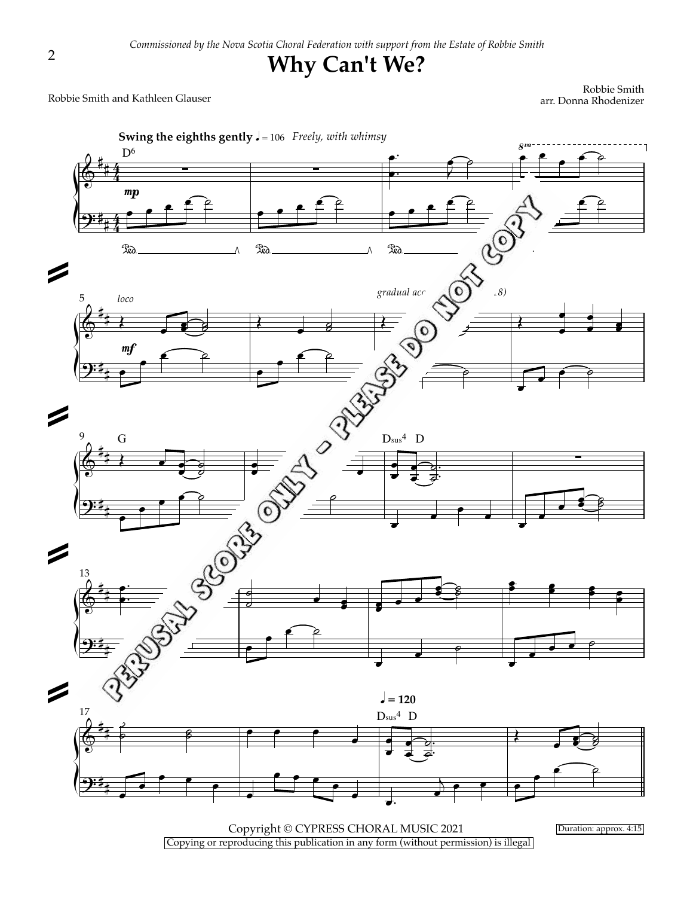## **Why Can't We?**

Robbie Smith and Kathleen Glauser

Robbie Smith<br>arr. Donna Rhodenizer



Copying or reproducing this publication in any form (without permission) is illegal

Duration: approx. 4:15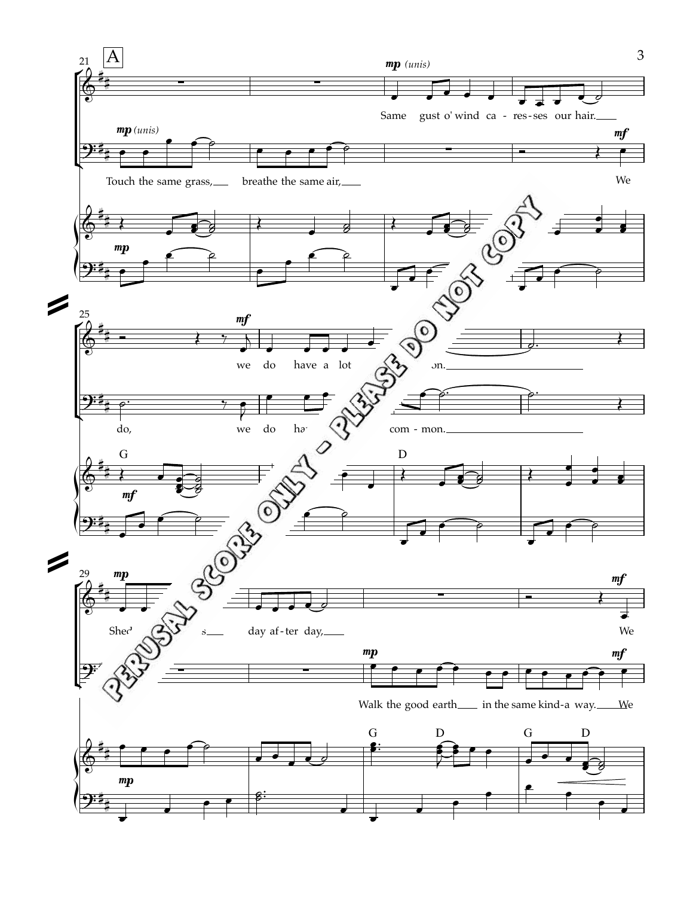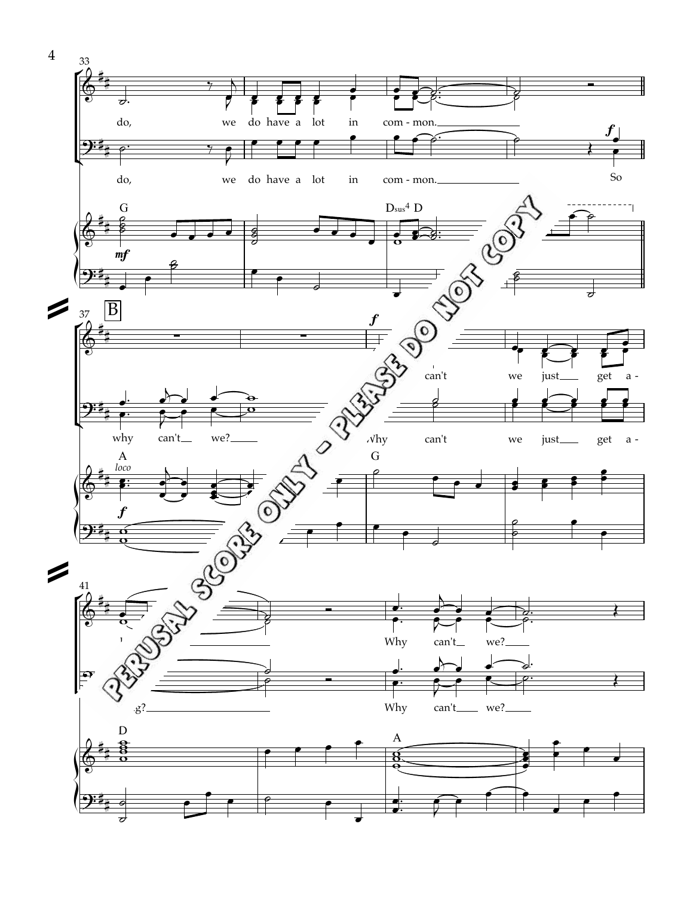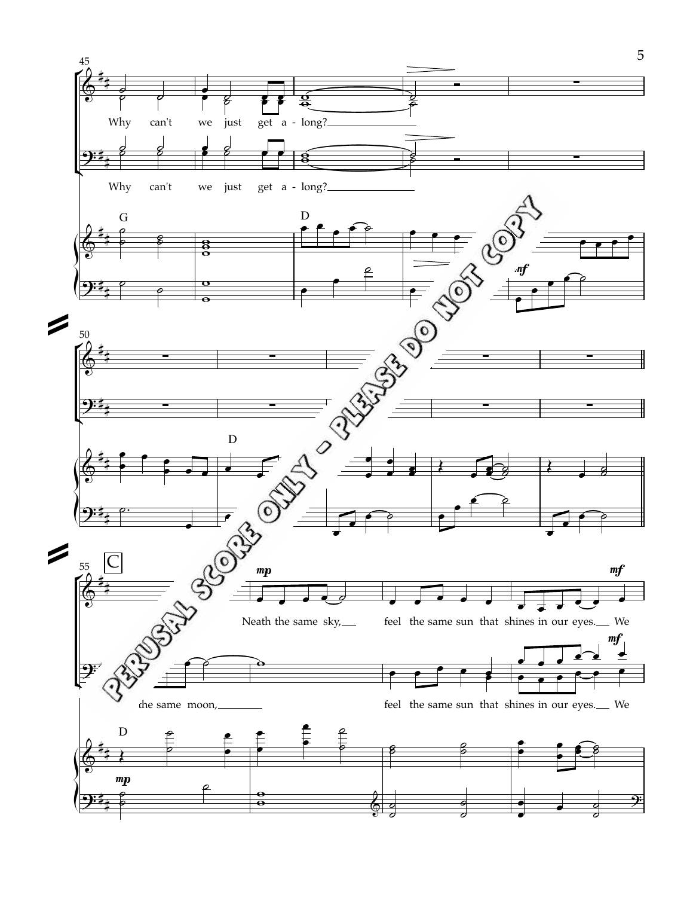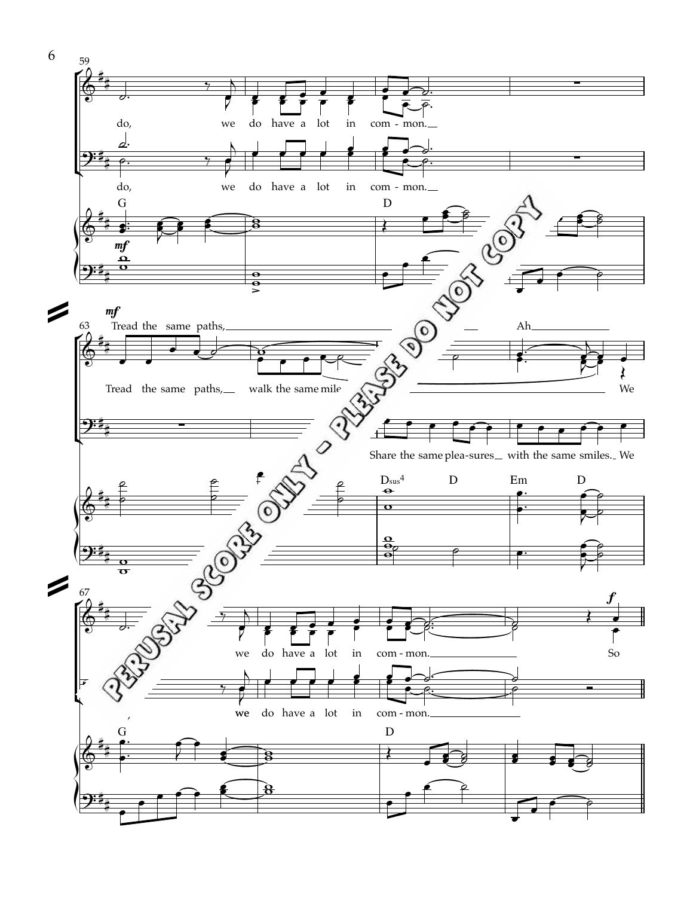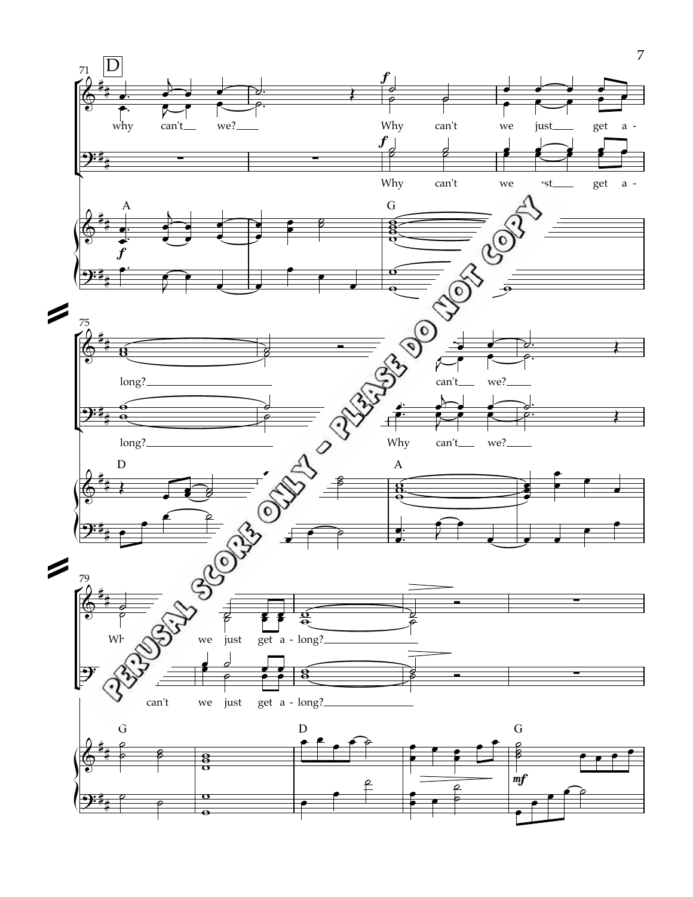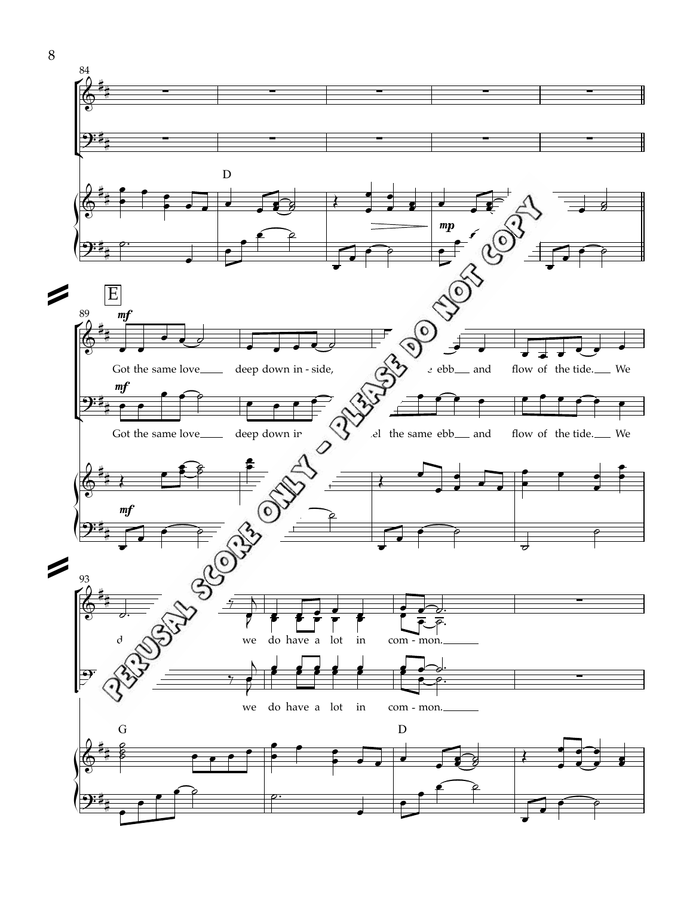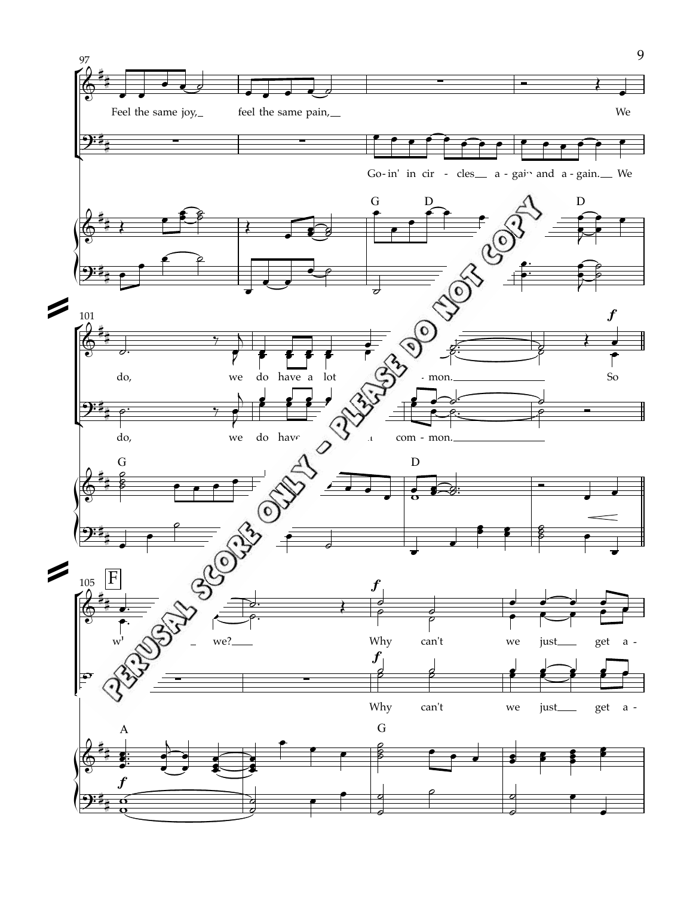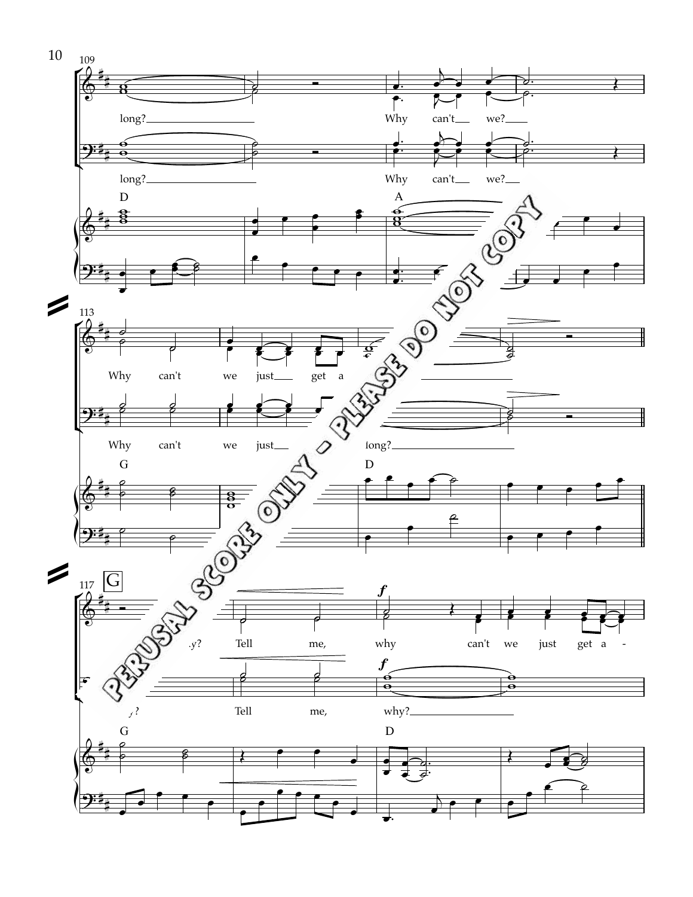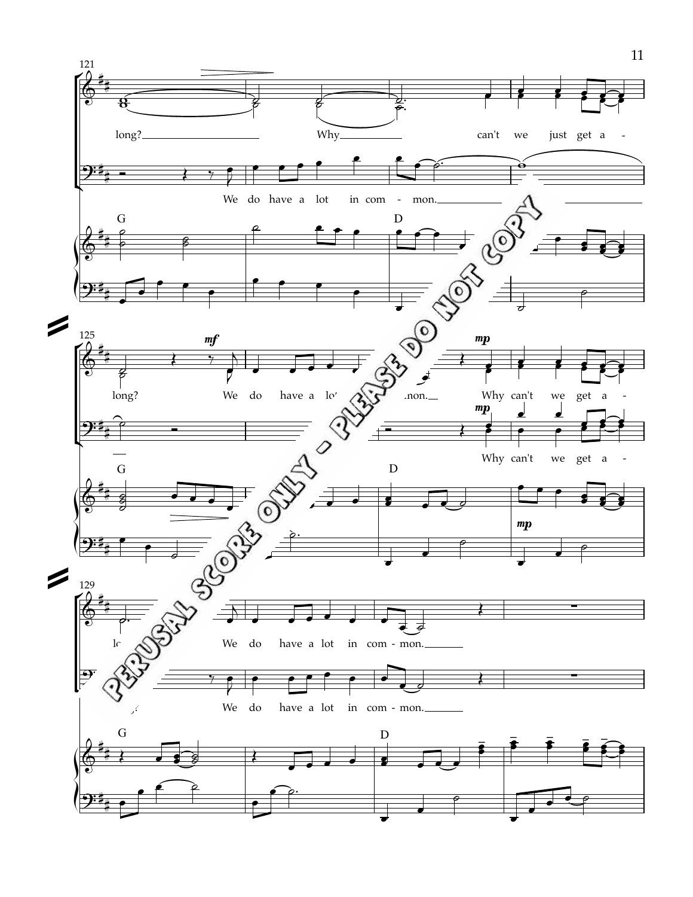